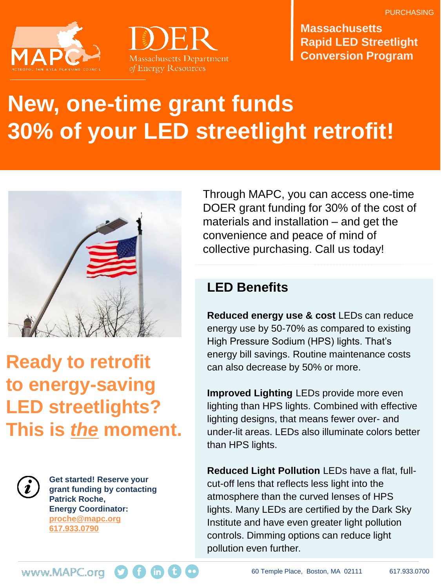



**Massachusetts Rapid LED Streetlight Conversion Program**

# **New, one-time grant funds 30% of your LED streetlight retrofit!**



# **Ready to retrofit to energy-saving LED streetlights? This is** *the* **moment.**



**Get started! Reserve your grant funding by contacting Patrick Roche, Energy Coordinator: proche@mapc.org 617.933.0790**

Through MAPC, you can access one-time DOER grant funding for 30% of the cost of materials and installation – and get the convenience and peace of mind of collective purchasing. Call us today!

## **LED Benefits**

**Reduced energy use & cost** LEDs can reduce energy use by 50-70% as compared to existing High Pressure Sodium (HPS) lights. That's energy bill savings. Routine maintenance costs can also decrease by 50% or more.

**Improved Lighting** LEDs provide more even lighting than HPS lights. Combined with effective lighting designs, that means fewer over- and under-lit areas. LEDs also illuminate colors better than HPS lights.

**Reduced Light Pollution** LEDs have a flat, fullcut-off lens that reflects less light into the atmosphere than the curved lenses of HPS lights. Many LEDs are certified by the Dark Sky Institute and have even greater light pollution controls. Dimming options can reduce light pollution even further.

www.MAPC.org **O G** (in